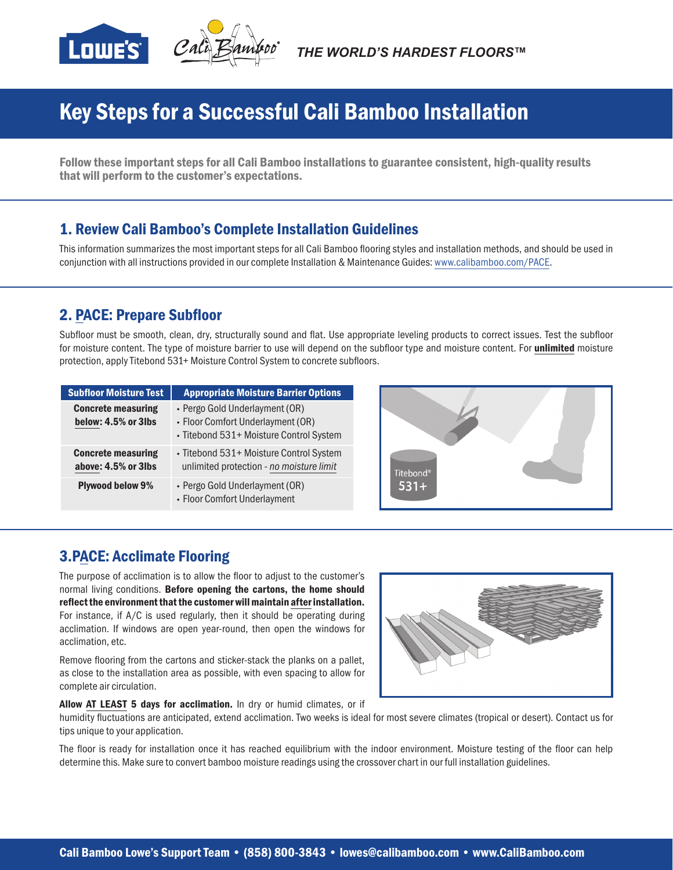

# Key Steps for a Successful Cali Bamboo Installation

Follow these important steps for all Cali Bamboo installations to guarantee consistent, high-quality results that will perform to the customer's expectations.

## 1. Review Cali Bamboo's Complete Installation Guidelines

This information summarizes the most important steps for all Cali Bamboo flooring styles and installation methods, and should be used in conjunction with all instructions provided in our complete Installation & Maintenance Guides: www.calibamboo.com/PACE.

## 2. PACE: Prepare Subfloor

Subfloor must be smooth, clean, dry, structurally sound and flat. Use appropriate leveling products to correct issues. Test the subfloor for moisture content. The type of moisture barrier to use will depend on the subfloor type and moisture content. For unlimited moisture protection, apply Titebond 531+ Moisture Control System to concrete subfloors.

| <b>Subfloor Moisture Test</b>                    | <b>Appropriate Moisture Barrier Options</b>                                                                    |
|--------------------------------------------------|----------------------------------------------------------------------------------------------------------------|
| <b>Concrete measuring</b><br>below: 4.5% or 3lbs | • Pergo Gold Underlayment (OR)<br>• Floor Comfort Underlayment (OR)<br>· Titebond 531+ Moisture Control System |
| <b>Concrete measuring</b><br>above: 4.5% or 3lbs | • Titebond 531+ Moisture Control System<br>unlimited protection - no moisture limit                            |
| <b>Plywood below 9%</b>                          | • Pergo Gold Underlayment (OR)<br>• Floor Comfort Underlayment                                                 |



## 3.PACE: Acclimate Flooring

The purpose of acclimation is to allow the floor to adjust to the customer's normal living conditions. Before opening the cartons, the home should reflect the environment that the customer will maintain after installation. For instance, if A/C is used regularly, then it should be operating during acclimation. If windows are open year-round, then open the windows for acclimation, etc.

Remove flooring from the cartons and sticker-stack the planks on a pallet, as close to the installation area as possible, with even spacing to allow for complete air circulation.



Allow AT LEAST 5 days for acclimation. In dry or humid climates, or if

humidity fluctuations are anticipated, extend acclimation. Two weeks is ideal for most severe climates (tropical or desert). Contact us for tips unique to your application.

The floor is ready for installation once it has reached equilibrium with the indoor environment. Moisture testing of the floor can help determine this. Make sure to convert bamboo moisture readings using the crossover chart in our full installation guidelines.